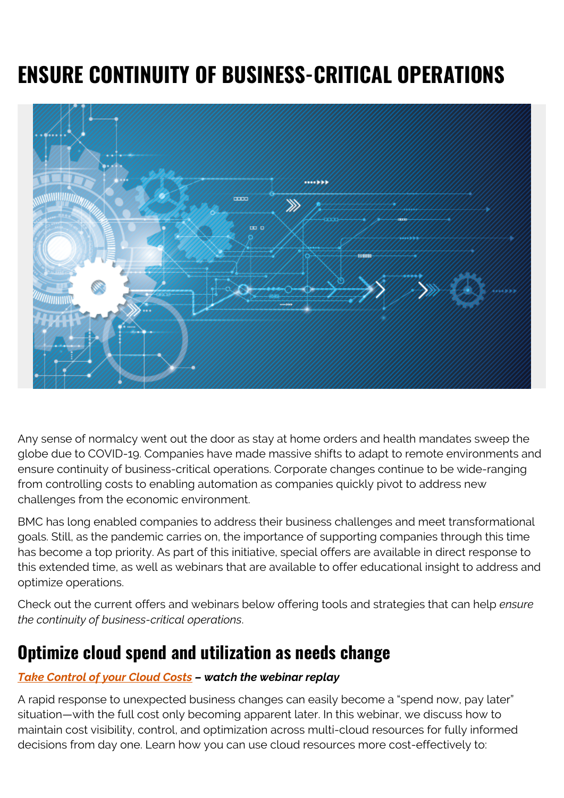# **ENSURE CONTINUITY OF BUSINESS-CRITICAL OPERATIONS**



Any sense of normalcy went out the door as stay at home orders and health mandates sweep the globe due to COVID-19. Companies have made massive shifts to adapt to remote environments and ensure continuity of business-critical operations. Corporate changes continue to be wide-ranging from controlling costs to enabling automation as companies quickly pivot to address new challenges from the economic environment.

BMC has long enabled companies to address their business challenges and meet transformational goals. Still, as the pandemic carries on, the importance of supporting companies through this time has become a top priority. As part of this initiative, special offers are available in direct response to this extended time, as well as webinars that are available to offer educational insight to address and optimize operations.

Check out the current offers and webinars below offering tools and strategies that can help *ensure the continuity of business-critical operations*.

### **Optimize cloud spend and utilization as needs change**

#### *[Take Control of your Cloud Costs](https://www.bmc.com/forms/take-control-of-cloud-cost-webinar.html) – watch the webinar replay*

A rapid response to unexpected business changes can easily become a "spend now, pay later" situation—with the full cost only becoming apparent later. In this webinar, we discuss how to maintain cost visibility, control, and optimization across multi-cloud resources for fully informed decisions from day one. Learn how you can use cloud resources more cost-effectively to: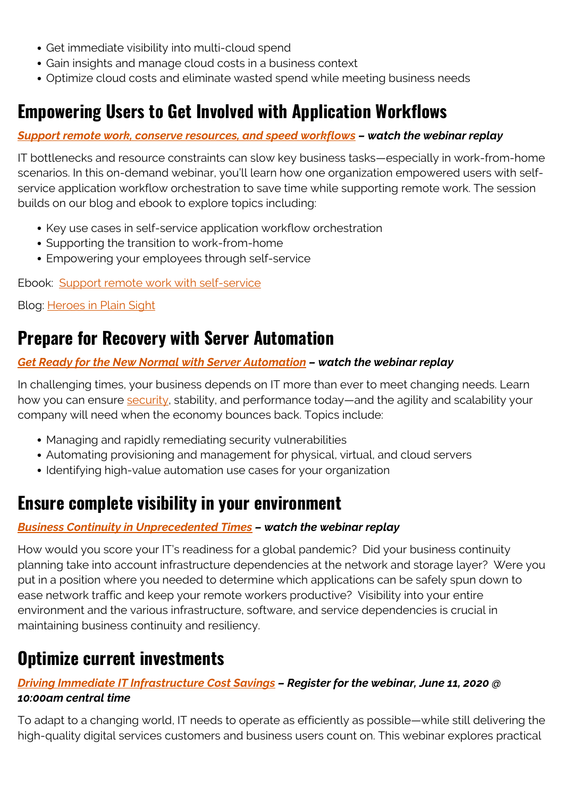- Get immediate visibility into multi-cloud spend
- Gain insights and manage cloud costs in a business context
- Optimize cloud costs and eliminate wasted spend while meeting business needs

# **Empowering Users to Get Involved with Application Workflows**

#### *[Support remote work, conserve resources, and speed workflows](https://www.bmc.com/forms/control-m-awo-self-service-webinar.html) – watch the webinar replay*

IT bottlenecks and resource constraints can slow key business tasks—especially in work-from-home scenarios. In this on-demand webinar, you'll learn how one organization empowered users with selfservice application workflow orchestration to save time while supporting remote work. The session builds on our blog and ebook to explore topics including:

- Key use cases in self-service application workflow orchestration
- Supporting the transition to work-from-home
- Empowering your employees through self-service

Ebook: [Support remote work with self-service](https://www.bmc.com/forms/self-service-workload-management-ebook.html?productInterest=control-m)

Blog: [Heroes in Plain Sight](https://www.bmc.com/blogs/heroes-in-plain-sight/)

### **Prepare for Recovery with Server Automation**

#### *[Get Ready for the New Normal with Server Automation](https://bmcwebinars.webex.com/bmcwebinars/onstage/g.php?MTID=e83402438708222f5eed3799925c68d9e) – watch the webinar replay*

In challenging times, your business depends on IT more than ever to meet changing needs. Learn how you can ensure **security**, stability, and performance today—and the agility and scalability your company will need when the economy bounces back. Topics include:

- Managing and rapidly remediating security vulnerabilities
- Automating provisioning and management for physical, virtual, and cloud servers
- Identifying high-value automation use cases for your organization

### **Ensure complete visibility in your environment**

#### *[Business Continuity in Unprecedented Times](https://bmcwebinars.webex.com/bmcwebinars/onstage/g.php?MTID=e86f0b8e724cbfb0883958c5456b04ab2) – watch the webinar replay*

How would you score your IT's readiness for a global pandemic? Did your business continuity planning take into account infrastructure dependencies at the network and storage layer? Were you put in a position where you needed to determine which applications can be safely spun down to ease network traffic and keep your remote workers productive? Visibility into your entire environment and the various infrastructure, software, and service dependencies is crucial in maintaining business continuity and resiliency.

## **Optimize current investments**

#### *[Driving Immediate IT Infrastructure Cost Savings](https://bmcwebinars.webex.com/mw3300/mywebex/default.do?nomenu=true&siteurl=bmcwebinars&service=6&rnd=0.4440933461401534&main_url=https%3A%2F%2Fbmcwebinars.webex.com%2Fec3300%2Feventcenter%2Fevent%2FeventAction.do%3FtheAction%3Ddetail%26%26%26EMK%3D4832534b0000000448caaf8e099c0858bcdbf130299bcfaa3e396e9874ef03fa3a0e6968b3855f82%26siteurl%3Dbmcwebinars%26confViewID%3D161864650986651316%26encryptTicket%3DSDJTSwAAAAQPUPunDgAEhJByd4a02vg7WGlS-rWbN1KKFQMxnocF2w2%26) – Register for the webinar, June 11, 2020 @ 10:00am central time*

To adapt to a changing world, IT needs to operate as efficiently as possible—while still delivering the high-quality digital services customers and business users count on. This webinar explores practical